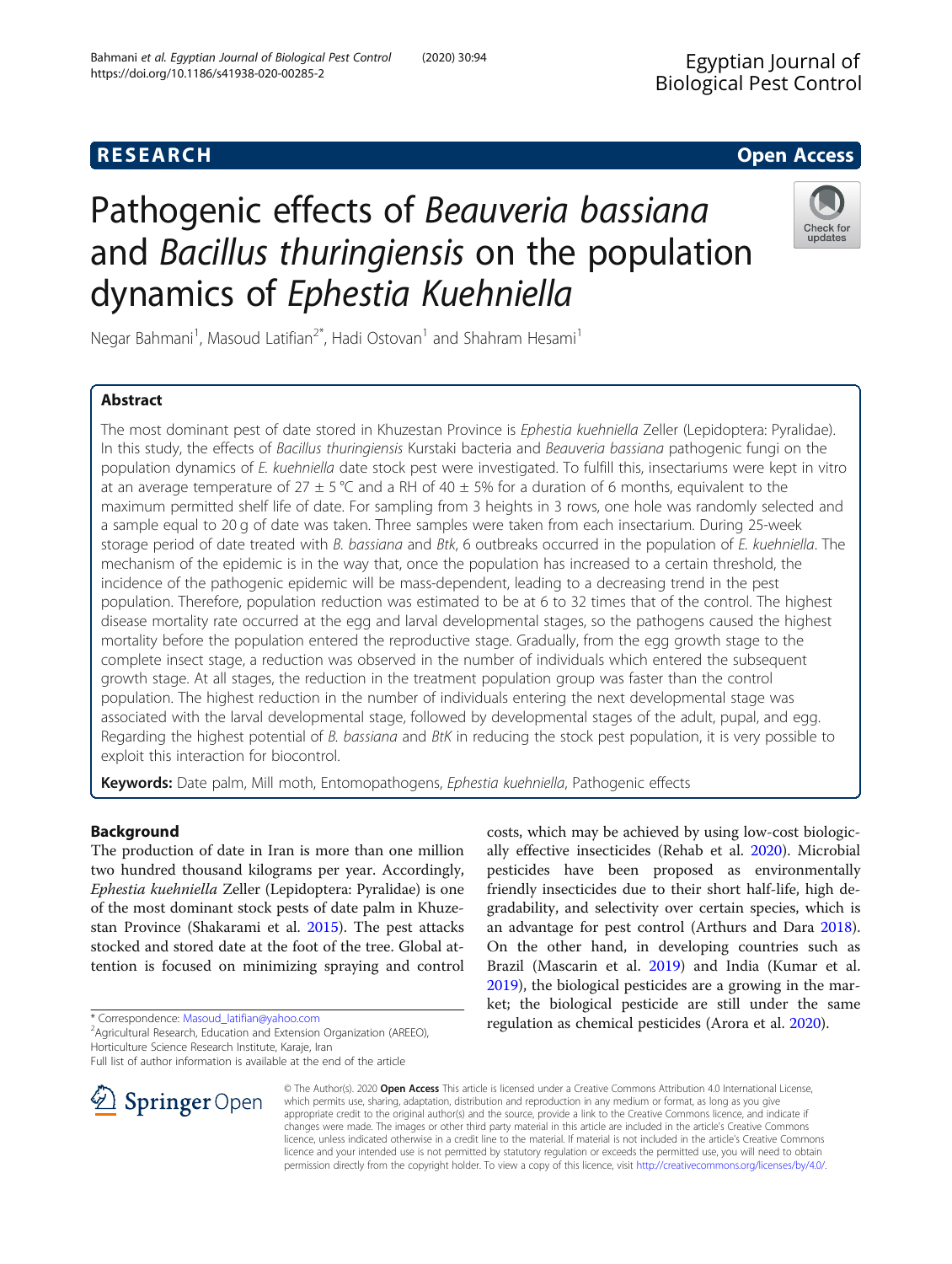## **RESEARCH CHE Open Access**

# Pathogenic effects of Beauveria bassiana and Bacillus thuringiensis on the population dynamics of Ephestia Kuehniella

Negar Bahmani<sup>1</sup>, Masoud Latifian<sup>2\*</sup>, Hadi Ostovan<sup>1</sup> and Shahram Hesami<sup>1</sup>

## Abstract

The most dominant pest of date stored in Khuzestan Province is Ephestia kuehniella Zeller (Lepidoptera: Pyralidae). In this study, the effects of Bacillus thuringiensis Kurstaki bacteria and Beauveria bassiana pathogenic fungi on the population dynamics of E. kuehniella date stock pest were investigated. To fulfill this, insectariums were kept in vitro at an average temperature of 27  $\pm$  5 °C and a RH of 40  $\pm$  5% for a duration of 6 months, equivalent to the maximum permitted shelf life of date. For sampling from 3 heights in 3 rows, one hole was randomly selected and a sample equal to 20 g of date was taken. Three samples were taken from each insectarium. During 25-week storage period of date treated with B. bassiana and Btk, 6 outbreaks occurred in the population of E. kuehniella. The mechanism of the epidemic is in the way that, once the population has increased to a certain threshold, the incidence of the pathogenic epidemic will be mass-dependent, leading to a decreasing trend in the pest population. Therefore, population reduction was estimated to be at 6 to 32 times that of the control. The highest disease mortality rate occurred at the egg and larval developmental stages, so the pathogens caused the highest mortality before the population entered the reproductive stage. Gradually, from the egg growth stage to the complete insect stage, a reduction was observed in the number of individuals which entered the subsequent growth stage. At all stages, the reduction in the treatment population group was faster than the control population. The highest reduction in the number of individuals entering the next developmental stage was associated with the larval developmental stage, followed by developmental stages of the adult, pupal, and egg. Regarding the highest potential of B. bassiana and BtK in reducing the stock pest population, it is very possible to exploit this interaction for biocontrol.

Keywords: Date palm, Mill moth, Entomopathogens, Ephestia kuehniella, Pathogenic effects

## Background

The production of date in Iran is more than one million two hundred thousand kilograms per year. Accordingly, Ephestia kuehniella Zeller (Lepidoptera: Pyralidae) is one of the most dominant stock pests of date palm in Khuzestan Province (Shakarami et al. [2015\)](#page-8-0). The pest attacks stocked and stored date at the foot of the tree. Global attention is focused on minimizing spraying and control

\* Correspondence: [Masoud\\_latifian@yahoo.com](mailto:Masoud_latifian@yahoo.com) <sup>2</sup>

SpringerOpen

<sup>2</sup> Agricultural Research, Education and Extension Organization (AREEO), Horticulture Science Research Institute, Karaje, Iran

Full list of author information is available at the end of the article

© The Author(s). 2020 Open Access This article is licensed under a Creative Commons Attribution 4.0 International License, which permits use, sharing, adaptation, distribution and reproduction in any medium or format, as long as you give appropriate credit to the original author(s) and the source, provide a link to the Creative Commons licence, and indicate if changes were made. The images or other third party material in this article are included in the article's Creative Commons licence, unless indicated otherwise in a credit line to the material. If material is not included in the article's Creative Commons licence and your intended use is not permitted by statutory regulation or exceeds the permitted use, you will need to obtain permission directly from the copyright holder. To view a copy of this licence, visit <http://creativecommons.org/licenses/by/4.0/>.

costs, which may be achieved by using low-cost biologically effective insecticides (Rehab et al. [2020](#page-8-0)). Microbial pesticides have been proposed as environmentally friendly insecticides due to their short half-life, high degradability, and selectivity over certain species, which is an advantage for pest control (Arthurs and Dara [2018](#page-8-0)). On the other hand, in developing countries such as Brazil (Mascarin et al. [2019\)](#page-8-0) and India (Kumar et al. [2019](#page-8-0)), the biological pesticides are a growing in the market; the biological pesticide are still under the same regulation as chemical pesticides (Arora et al. [2020\)](#page-8-0).





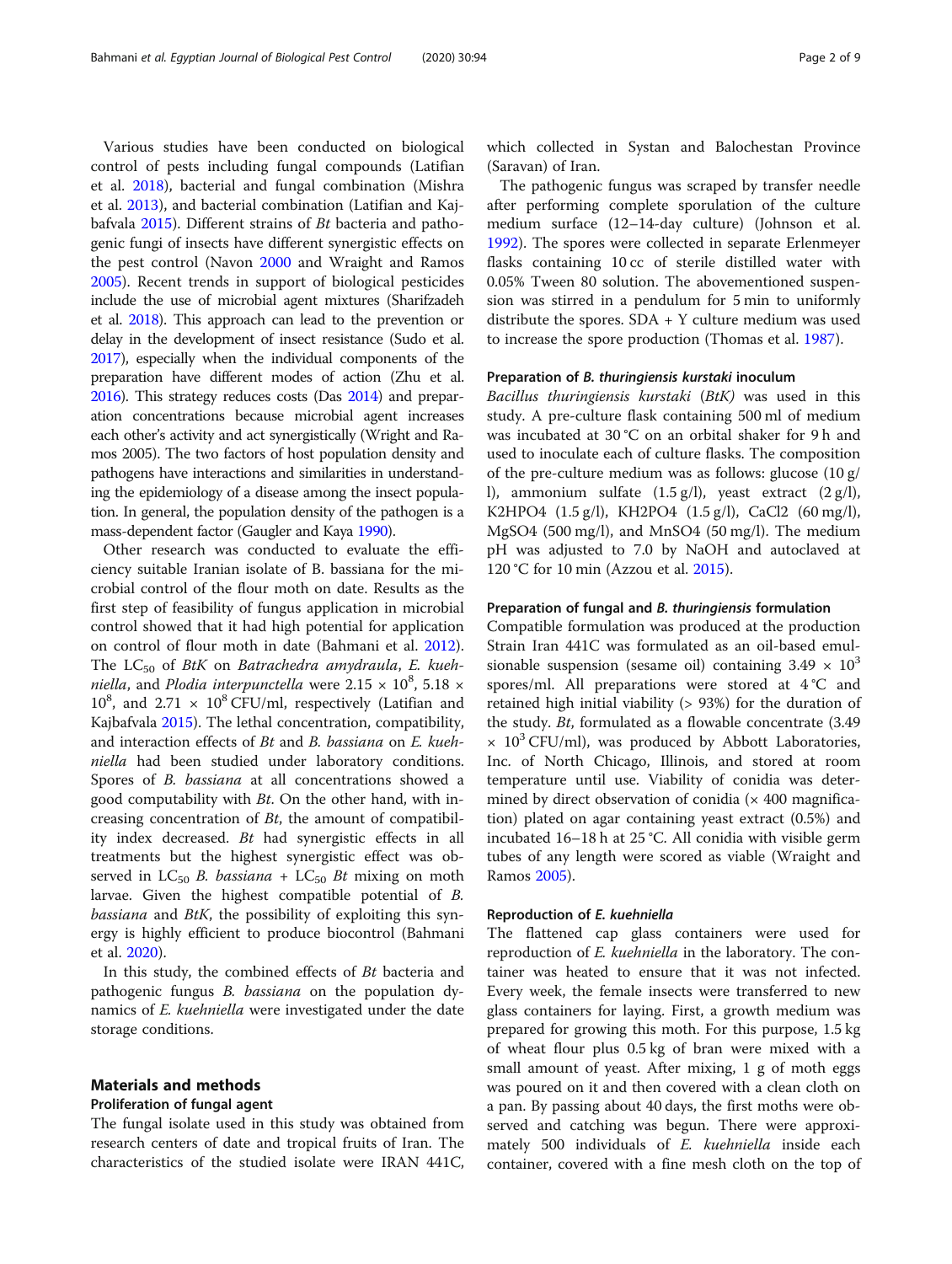Various studies have been conducted on biological control of pests including fungal compounds (Latifian et al. [2018\)](#page-8-0), bacterial and fungal combination (Mishra et al. [2013](#page-8-0)), and bacterial combination (Latifian and Kajbafvala [2015\)](#page-8-0). Different strains of Bt bacteria and pathogenic fungi of insects have different synergistic effects on the pest control (Navon [2000](#page-8-0) and Wraight and Ramos [2005](#page-8-0)). Recent trends in support of biological pesticides include the use of microbial agent mixtures (Sharifzadeh et al. [2018](#page-8-0)). This approach can lead to the prevention or delay in the development of insect resistance (Sudo et al. [2017\)](#page-8-0), especially when the individual components of the preparation have different modes of action (Zhu et al. [2016\)](#page-8-0). This strategy reduces costs (Das [2014\)](#page-8-0) and preparation concentrations because microbial agent increases each other's activity and act synergistically (Wright and Ramos 2005). The two factors of host population density and pathogens have interactions and similarities in understanding the epidemiology of a disease among the insect population. In general, the population density of the pathogen is a mass-dependent factor (Gaugler and Kaya [1990\)](#page-8-0).

Other research was conducted to evaluate the efficiency suitable Iranian isolate of B. bassiana for the microbial control of the flour moth on date. Results as the first step of feasibility of fungus application in microbial control showed that it had high potential for application on control of flour moth in date (Bahmani et al. [2012](#page-8-0)). The  $LC_{50}$  of BtK on Batrachedra amydraula, E. kuehniella, and Plodia interpunctella were  $2.15 \times 10^8$ ,  $5.18 \times$  $10^8$ , and  $2.71 \times 10^8$  CFU/ml, respectively (Latifian and Kajbafvala [2015\)](#page-8-0). The lethal concentration, compatibility, and interaction effects of Bt and B. bassiana on E. kuehniella had been studied under laboratory conditions. Spores of B. bassiana at all concentrations showed a good computability with Bt. On the other hand, with increasing concentration of Bt, the amount of compatibility index decreased. Bt had synergistic effects in all treatments but the highest synergistic effect was observed in LC<sub>50</sub> B. bassiana + LC<sub>50</sub> Bt mixing on moth larvae. Given the highest compatible potential of B. bassiana and BtK, the possibility of exploiting this synergy is highly efficient to produce biocontrol (Bahmani et al. [2020\)](#page-8-0).

In this study, the combined effects of Bt bacteria and pathogenic fungus B. bassiana on the population dynamics of E. kuehniella were investigated under the date storage conditions.

## Materials and methods

#### Proliferation of fungal agent

The fungal isolate used in this study was obtained from research centers of date and tropical fruits of Iran. The characteristics of the studied isolate were IRAN 441C,

which collected in Systan and Balochestan Province (Saravan) of Iran.

The pathogenic fungus was scraped by transfer needle after performing complete sporulation of the culture medium surface (12–14-day culture) (Johnson et al. [1992](#page-8-0)). The spores were collected in separate Erlenmeyer flasks containing 10 cc of sterile distilled water with 0.05% Tween 80 solution. The abovementioned suspension was stirred in a pendulum for 5 min to uniformly distribute the spores. SDA + Y culture medium was used to increase the spore production (Thomas et al. [1987\)](#page-8-0).

#### Preparation of B. thuringiensis kurstaki inoculum

Bacillus thuringiensis kurstaki (BtK) was used in this study. A pre-culture flask containing 500 ml of medium was incubated at 30 °C on an orbital shaker for 9 h and used to inoculate each of culture flasks. The composition of the pre-culture medium was as follows: glucose (10 g/ l), ammonium sulfate  $(1.5 \text{ g/l})$ , yeast extract  $(2 \text{ g/l})$ , K2HPO4 (1.5 g/l), KH2PO4 (1.5 g/l), CaCl2 (60 mg/l), MgSO4 (500 mg/l), and MnSO4 (50 mg/l). The medium pH was adjusted to 7.0 by NaOH and autoclaved at 120 °C for 10 min (Azzou et al. [2015](#page-8-0)).

#### Preparation of fungal and B. thuringiensis formulation

Compatible formulation was produced at the production Strain Iran 441C was formulated as an oil-based emulsionable suspension (sesame oil) containing  $3.49 \times 10^3$ spores/ml. All preparations were stored at 4 °C and retained high initial viability (> 93%) for the duration of the study. Bt, formulated as a flowable concentrate (3.49  $\times$  10<sup>3</sup> CFU/ml), was produced by Abbott Laboratories, Inc. of North Chicago, Illinois, and stored at room temperature until use. Viability of conidia was determined by direct observation of conidia  $(x 400$  magnification) plated on agar containing yeast extract (0.5%) and incubated 16–18 h at 25 °C. All conidia with visible germ tubes of any length were scored as viable (Wraight and Ramos [2005\)](#page-8-0).

#### Reproduction of E. kuehniella

The flattened cap glass containers were used for reproduction of E. kuehniella in the laboratory. The container was heated to ensure that it was not infected. Every week, the female insects were transferred to new glass containers for laying. First, a growth medium was prepared for growing this moth. For this purpose, 1.5 kg of wheat flour plus 0.5 kg of bran were mixed with a small amount of yeast. After mixing, 1 g of moth eggs was poured on it and then covered with a clean cloth on a pan. By passing about 40 days, the first moths were observed and catching was begun. There were approximately 500 individuals of *E. kuehniella* inside each container, covered with a fine mesh cloth on the top of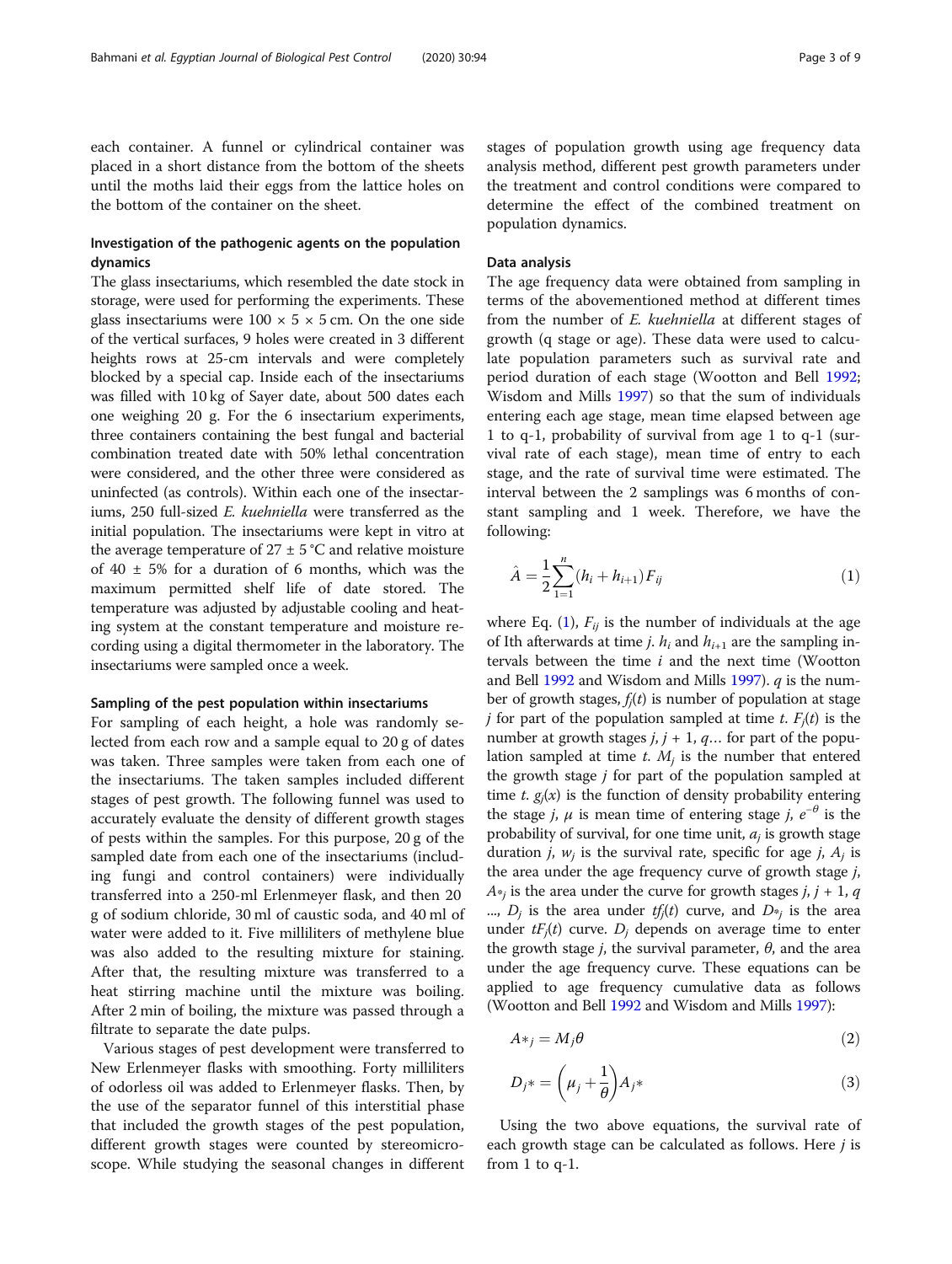each container. A funnel or cylindrical container was placed in a short distance from the bottom of the sheets until the moths laid their eggs from the lattice holes on the bottom of the container on the sheet.

## Investigation of the pathogenic agents on the population dynamics

The glass insectariums, which resembled the date stock in storage, were used for performing the experiments. These glass insectariums were  $100 \times 5 \times 5$  cm. On the one side of the vertical surfaces, 9 holes were created in 3 different heights rows at 25-cm intervals and were completely blocked by a special cap. Inside each of the insectariums was filled with 10 kg of Sayer date, about 500 dates each one weighing 20 g. For the 6 insectarium experiments, three containers containing the best fungal and bacterial combination treated date with 50% lethal concentration were considered, and the other three were considered as uninfected (as controls). Within each one of the insectariums, 250 full-sized E. kuehniella were transferred as the initial population. The insectariums were kept in vitro at the average temperature of  $27 \pm 5$  °C and relative moisture of  $40 \pm 5\%$  for a duration of 6 months, which was the maximum permitted shelf life of date stored. The temperature was adjusted by adjustable cooling and heating system at the constant temperature and moisture recording using a digital thermometer in the laboratory. The insectariums were sampled once a week.

#### Sampling of the pest population within insectariums

For sampling of each height, a hole was randomly selected from each row and a sample equal to 20 g of dates was taken. Three samples were taken from each one of the insectariums. The taken samples included different stages of pest growth. The following funnel was used to accurately evaluate the density of different growth stages of pests within the samples. For this purpose, 20 g of the sampled date from each one of the insectariums (including fungi and control containers) were individually transferred into a 250-ml Erlenmeyer flask, and then 20 g of sodium chloride, 30 ml of caustic soda, and 40 ml of water were added to it. Five milliliters of methylene blue was also added to the resulting mixture for staining. After that, the resulting mixture was transferred to a heat stirring machine until the mixture was boiling. After 2 min of boiling, the mixture was passed through a filtrate to separate the date pulps.

Various stages of pest development were transferred to New Erlenmeyer flasks with smoothing. Forty milliliters of odorless oil was added to Erlenmeyer flasks. Then, by the use of the separator funnel of this interstitial phase that included the growth stages of the pest population, different growth stages were counted by stereomicroscope. While studying the seasonal changes in different stages of population growth using age frequency data analysis method, different pest growth parameters under the treatment and control conditions were compared to determine the effect of the combined treatment on population dynamics.

#### Data analysis

The age frequency data were obtained from sampling in terms of the abovementioned method at different times from the number of E. kuehniella at different stages of growth (q stage or age). These data were used to calculate population parameters such as survival rate and period duration of each stage (Wootton and Bell [1992](#page-8-0); Wisdom and Mills [1997\)](#page-8-0) so that the sum of individuals entering each age stage, mean time elapsed between age 1 to q-1, probability of survival from age 1 to q-1 (survival rate of each stage), mean time of entry to each stage, and the rate of survival time were estimated. The interval between the 2 samplings was 6 months of constant sampling and 1 week. Therefore, we have the following:

$$
\hat{A} = \frac{1}{2} \sum_{i=1}^{n} (h_i + h_{i+1}) F_{ij}
$$
\n(1)

where Eq. (1),  $F_{ij}$  is the number of individuals at the age of Ith afterwards at time *j.*  $h_i$  and  $h_{i+1}$  are the sampling intervals between the time  $i$  and the next time (Wootton and Bell [1992](#page-8-0) and Wisdom and Mills [1997](#page-8-0)).  $q$  is the number of growth stages,  $f_j(t)$  is number of population at stage *j* for part of the population sampled at time *t*.  $F_i(t)$  is the number at growth stages  $j$ ,  $j + 1$ ,  $q$ ... for part of the population sampled at time  $t$ .  $M_i$  is the number that entered the growth stage  $j$  for part of the population sampled at time t.  $g_i(x)$  is the function of density probability entering the stage *j*,  $\mu$  is mean time of entering stage *j*,  $e^{-\theta}$  is the probability of survival, for one time unit,  $a_j$  is growth stage duration *j*,  $w_j$  is the survival rate, specific for age *j*,  $A_j$  is the area under the age frequency curve of growth stage j,  $A<sub>i</sub>$  is the area under the curve for growth stages j, j + 1, q ...,  $D_i$  is the area under  $tf_i(t)$  curve, and  $D_{*i}$  is the area under  $tF_j(t)$  curve.  $D_j$  depends on average time to enter the growth stage *j*, the survival parameter,  $\theta$ , and the area under the age frequency curve. These equations can be applied to age frequency cumulative data as follows (Wootton and Bell [1992](#page-8-0) and Wisdom and Mills [1997](#page-8-0)):

$$
A*_{j} = M_{j}\theta
$$
 (2)

$$
D_j^* = \left(\mu_j + \frac{1}{\theta}\right) A_j^*
$$
\n(3)

Using the two above equations, the survival rate of each growth stage can be calculated as follows. Here *j* is from 1 to q-1.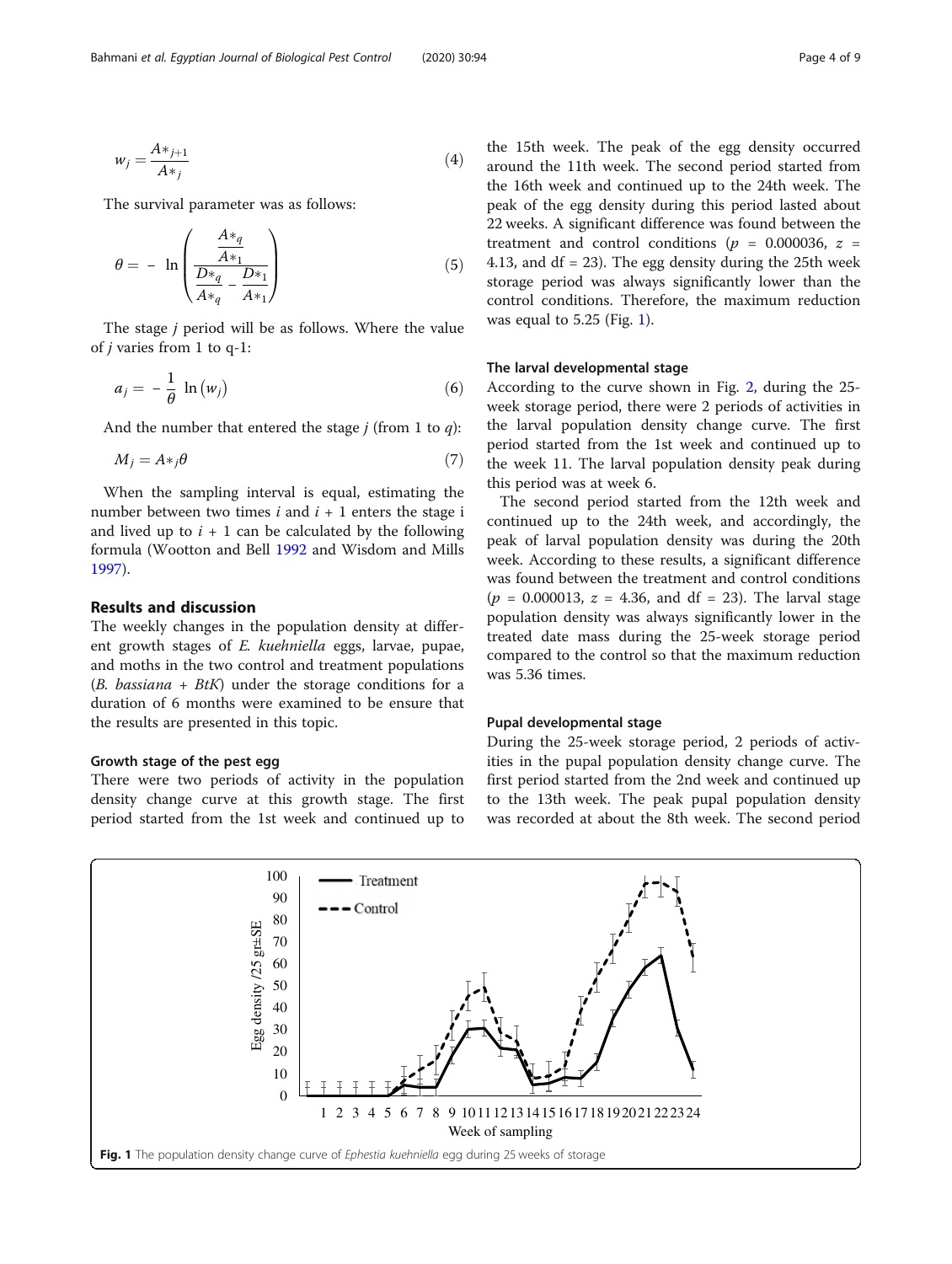$$
w_j = \frac{A *_{j+1}}{A *_{j}}\tag{4}
$$

The survival parameter was as follows:

$$
\theta = -\ln\left(\frac{\frac{A*_q}{A*_1}}{\frac{D*_q}{A*_q} - \frac{D*_1}{A*_1}}\right) \tag{5}
$$

The stage j period will be as follows. Where the value of j varies from 1 to q-1:

$$
a_j = -\frac{1}{\theta} \ln(w_j) \tag{6}
$$

And the number that entered the stage  $j$  (from 1 to  $q$ ):

$$
M_j = A *_{j} \theta \tag{7}
$$

When the sampling interval is equal, estimating the number between two times  $i$  and  $i + 1$  enters the stage i and lived up to  $i + 1$  can be calculated by the following formula (Wootton and Bell [1992](#page-8-0) and Wisdom and Mills [1997](#page-8-0)).

## Results and discussion

The weekly changes in the population density at different growth stages of E. kuehniella eggs, larvae, pupae, and moths in the two control and treatment populations  $(B. \text{ }basiana + BtK)$  under the storage conditions for a duration of 6 months were examined to be ensure that the results are presented in this topic.

#### Growth stage of the pest egg

There were two periods of activity in the population density change curve at this growth stage. The first period started from the 1st week and continued up to the 15th week. The peak of the egg density occurred around the 11th week. The second period started from the 16th week and continued up to the 24th week. The peak of the egg density during this period lasted about 22 weeks. A significant difference was found between the treatment and control conditions ( $p = 0.000036$ ,  $z =$ 4.13, and  $df = 23$ ). The egg density during the 25th week storage period was always significantly lower than the control conditions. Therefore, the maximum reduction was equal to 5.25 (Fig. 1).

#### The larval developmental stage

According to the curve shown in Fig. [2,](#page-4-0) during the 25 week storage period, there were 2 periods of activities in the larval population density change curve. The first period started from the 1st week and continued up to the week 11. The larval population density peak during this period was at week 6.

The second period started from the 12th week and continued up to the 24th week, and accordingly, the peak of larval population density was during the 20th week. According to these results, a significant difference was found between the treatment and control conditions  $(p = 0.000013, z = 4.36, and df = 23)$ . The larval stage population density was always significantly lower in the treated date mass during the 25-week storage period compared to the control so that the maximum reduction was 5.36 times.

#### Pupal developmental stage

During the 25-week storage period, 2 periods of activities in the pupal population density change curve. The first period started from the 2nd week and continued up to the 13th week. The peak pupal population density was recorded at about the 8th week. The second period

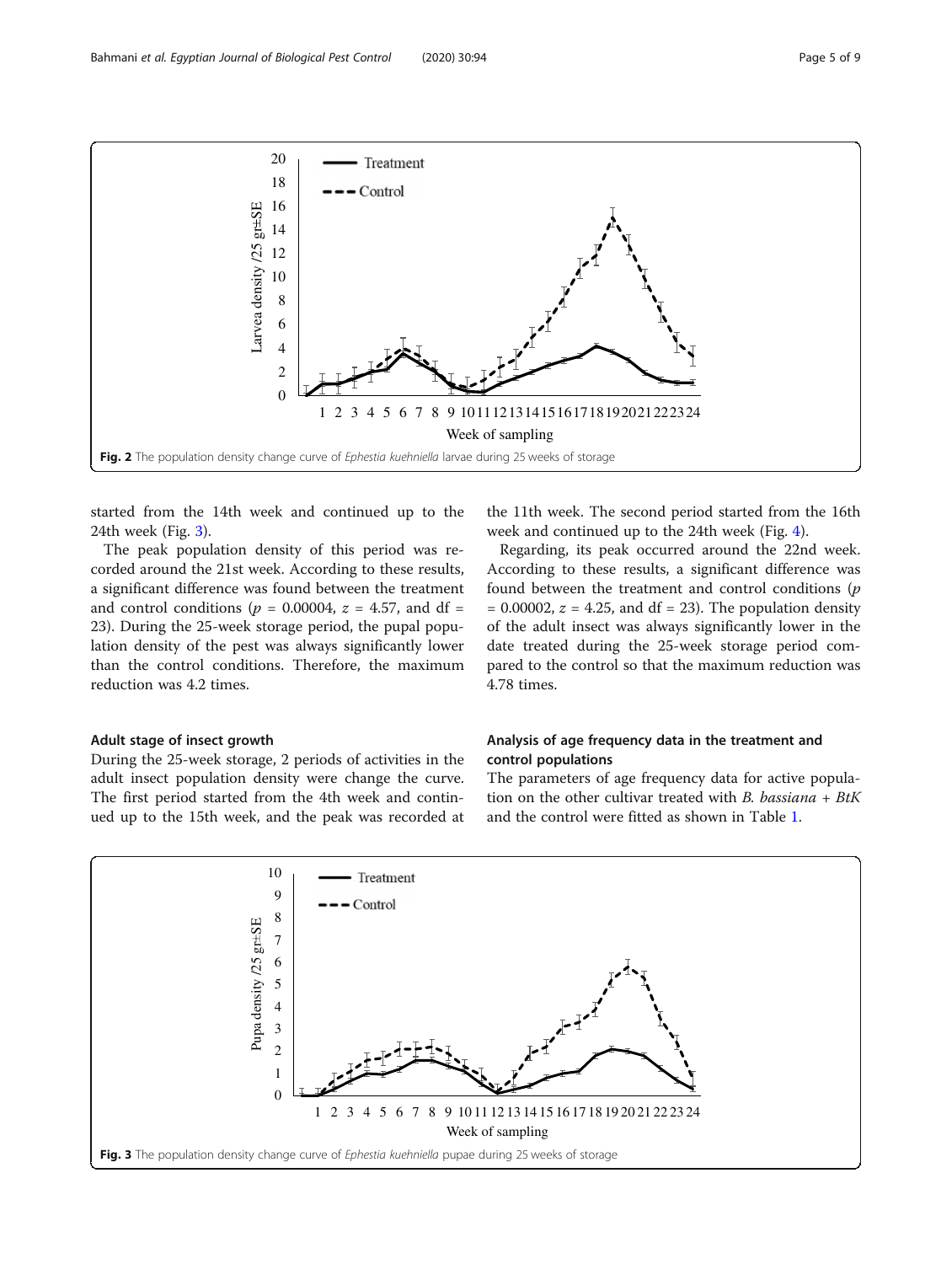<span id="page-4-0"></span>

started from the 14th week and continued up to the 24th week (Fig. 3).

The peak population density of this period was recorded around the 21st week. According to these results, a significant difference was found between the treatment and control conditions ( $p = 0.00004$ ,  $z = 4.57$ , and df = 23). During the 25-week storage period, the pupal population density of the pest was always significantly lower than the control conditions. Therefore, the maximum reduction was 4.2 times.

#### Adult stage of insect growth

During the 25-week storage, 2 periods of activities in the adult insect population density were change the curve. The first period started from the 4th week and continued up to the 15th week, and the peak was recorded at

the 11th week. The second period started from the 16th week and continued up to the 24th week (Fig. [4\)](#page-5-0).

Regarding, its peak occurred around the 22nd week. According to these results, a significant difference was found between the treatment and control conditions (p  $= 0.00002$ ,  $z = 4.25$ , and df  $= 23$ ). The population density of the adult insect was always significantly lower in the date treated during the 25-week storage period compared to the control so that the maximum reduction was 4.78 times.

## Analysis of age frequency data in the treatment and control populations

The parameters of age frequency data for active population on the other cultivar treated with B. bassiana +  $B$ tK and the control were fitted as shown in Table [1.](#page-5-0)

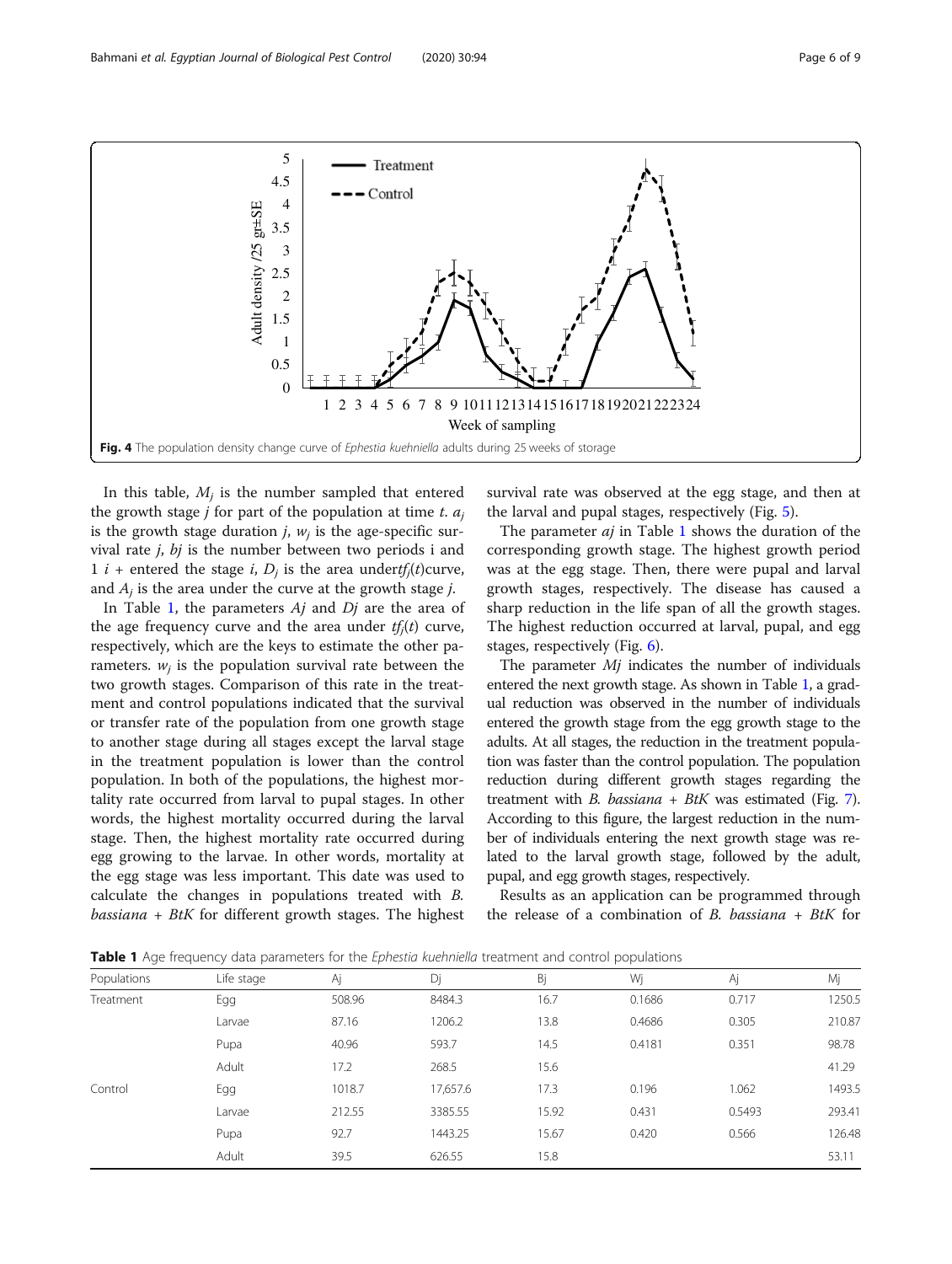<span id="page-5-0"></span>

In this table,  $M_i$  is the number sampled that entered the growth stage *j* for part of the population at time *t*.  $a_i$ is the growth stage duration  $j$ ,  $w_j$  is the age-specific survival rate j, bj is the number between two periods i and 1 *i* + entered the stage *i*,  $D_i$  is the area undertf<sub>i</sub>(t)curve, and  $A_i$  is the area under the curve at the growth stage *j*.

In Table 1, the parameters  $Aj$  and  $Dj$  are the area of the age frequency curve and the area under  $tf_i(t)$  curve, respectively, which are the keys to estimate the other parameters.  $w_i$  is the population survival rate between the two growth stages. Comparison of this rate in the treatment and control populations indicated that the survival or transfer rate of the population from one growth stage to another stage during all stages except the larval stage in the treatment population is lower than the control population. In both of the populations, the highest mortality rate occurred from larval to pupal stages. In other words, the highest mortality occurred during the larval stage. Then, the highest mortality rate occurred during egg growing to the larvae. In other words, mortality at the egg stage was less important. This date was used to calculate the changes in populations treated with B.  $bassiana + BtK$  for different growth stages. The highest

survival rate was observed at the egg stage, and then at the larval and pupal stages, respectively (Fig. [5](#page-6-0)).

The parameter  $aj$  in Table 1 shows the duration of the corresponding growth stage. The highest growth period was at the egg stage. Then, there were pupal and larval growth stages, respectively. The disease has caused a sharp reduction in the life span of all the growth stages. The highest reduction occurred at larval, pupal, and egg stages, respectively (Fig. [6](#page-6-0)).

The parameter *Mi* indicates the number of individuals entered the next growth stage. As shown in Table 1, a gradual reduction was observed in the number of individuals entered the growth stage from the egg growth stage to the adults. At all stages, the reduction in the treatment population was faster than the control population. The population reduction during different growth stages regarding the treatment with *B. bassiana* + *BtK* was estimated (Fig. [7](#page-6-0)). According to this figure, the largest reduction in the number of individuals entering the next growth stage was related to the larval growth stage, followed by the adult, pupal, and egg growth stages, respectively.

Results as an application can be programmed through the release of a combination of  $B$ . bassiana +  $B$ tK for

|  |  |  |  |  |  |  |  |  |  |  | <b>Table 1</b> Age frequency data parameters for the Ephestia kuehniella treatment and control populations |
|--|--|--|--|--|--|--|--|--|--|--|------------------------------------------------------------------------------------------------------------|
|--|--|--|--|--|--|--|--|--|--|--|------------------------------------------------------------------------------------------------------------|

| Populations | Life stage | Аj     | Dj       | Bj    | Wj     | Аj     | Mj     |
|-------------|------------|--------|----------|-------|--------|--------|--------|
| Treatment   | Egg        | 508.96 | 8484.3   | 16.7  | 0.1686 | 0.717  | 1250.5 |
|             | Larvae     | 87.16  | 1206.2   | 13.8  | 0.4686 | 0.305  | 210.87 |
|             | Pupa       | 40.96  | 593.7    | 14.5  | 0.4181 | 0.351  | 98.78  |
|             | Adult      | 17.2   | 268.5    | 15.6  |        |        | 41.29  |
| Control     | Egg        | 1018.7 | 17,657.6 | 17.3  | 0.196  | 1.062  | 1493.5 |
|             | Larvae     | 212.55 | 3385.55  | 15.92 | 0.431  | 0.5493 | 293.41 |
|             | Pupa       | 92.7   | 1443.25  | 15.67 | 0.420  | 0.566  | 126.48 |
|             | Adult      | 39.5   | 626.55   | 15.8  |        |        | 53.11  |
|             |            |        |          |       |        |        |        |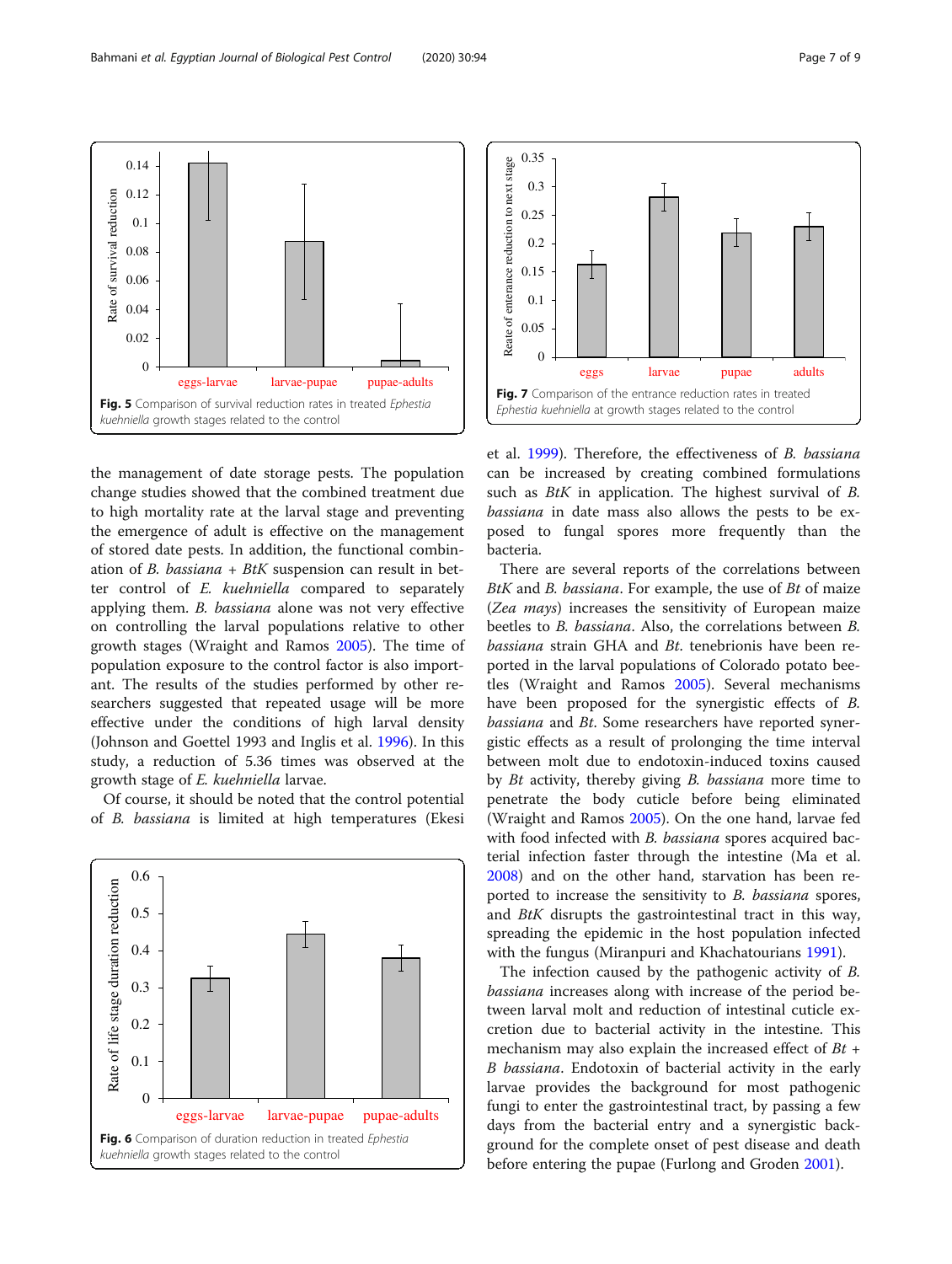the management of date storage pests. The population change studies showed that the combined treatment due to high mortality rate at the larval stage and preventing the emergence of adult is effective on the management of stored date pests. In addition, the functional combination of B. bassiana + BtK suspension can result in better control of E. kuehniella compared to separately applying them. B. bassiana alone was not very effective on controlling the larval populations relative to other growth stages (Wraight and Ramos [2005](#page-8-0)). The time of population exposure to the control factor is also important. The results of the studies performed by other researchers suggested that repeated usage will be more effective under the conditions of high larval density (Johnson and Goettel 1993 and Inglis et al. [1996\)](#page-8-0). In this study, a reduction of 5.36 times was observed at the growth stage of E. kuehniella larvae.

eggs-larvae larvae-pupae pupae-adults

Fig. 5 Comparison of survival reduction rates in treated Ephestia

kuehniella growth stages related to the control

Of course, it should be noted that the control potential of B. bassiana is limited at high temperatures (Ekesi



et al. [1999\)](#page-8-0). Therefore, the effectiveness of B. bassiana can be increased by creating combined formulations such as *BtK* in application. The highest survival of *B*. bassiana in date mass also allows the pests to be exposed to fungal spores more frequently than the bacteria.

There are several reports of the correlations between BtK and B. bassiana. For example, the use of Bt of maize (Zea mays) increases the sensitivity of European maize beetles to B. bassiana. Also, the correlations between B. bassiana strain GHA and Bt. tenebrionis have been reported in the larval populations of Colorado potato beetles (Wraight and Ramos [2005\)](#page-8-0). Several mechanisms have been proposed for the synergistic effects of B. bassiana and Bt. Some researchers have reported synergistic effects as a result of prolonging the time interval between molt due to endotoxin-induced toxins caused by Bt activity, thereby giving B. bassiana more time to penetrate the body cuticle before being eliminated (Wraight and Ramos [2005\)](#page-8-0). On the one hand, larvae fed with food infected with *B. bassiana* spores acquired bacterial infection faster through the intestine (Ma et al. [2008](#page-8-0)) and on the other hand, starvation has been reported to increase the sensitivity to B. bassiana spores, and BtK disrupts the gastrointestinal tract in this way, spreading the epidemic in the host population infected with the fungus (Miranpuri and Khachatourians [1991](#page-8-0)).

The infection caused by the pathogenic activity of B. bassiana increases along with increase of the period between larval molt and reduction of intestinal cuticle excretion due to bacterial activity in the intestine. This mechanism may also explain the increased effect of  $Bt$  + B bassiana. Endotoxin of bacterial activity in the early larvae provides the background for most pathogenic fungi to enter the gastrointestinal tract, by passing a few days from the bacterial entry and a synergistic background for the complete onset of pest disease and death before entering the pupae (Furlong and Groden [2001\)](#page-8-0).

<span id="page-6-0"></span>

 $\theta$ 0.02 0.04 0.06 0.08 0.1 0.12 0.14

Rate of survival reduction

Rate of survival reduction

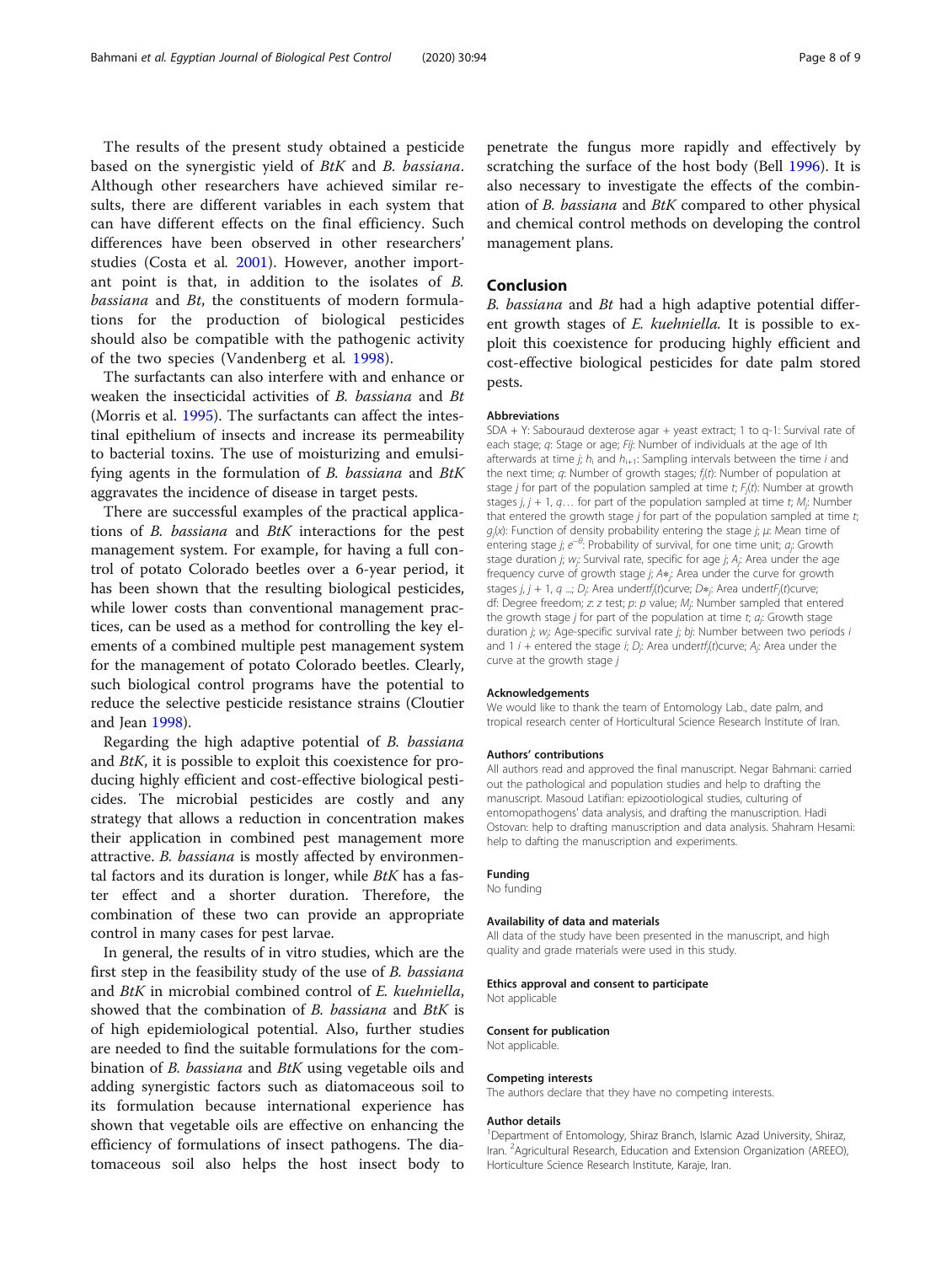The results of the present study obtained a pesticide based on the synergistic yield of BtK and B. bassiana. Although other researchers have achieved similar results, there are different variables in each system that can have different effects on the final efficiency. Such differences have been observed in other researchers' studies (Costa et al. [2001\)](#page-8-0). However, another important point is that, in addition to the isolates of B. bassiana and Bt, the constituents of modern formulations for the production of biological pesticides should also be compatible with the pathogenic activity of the two species (Vandenberg et al. [1998\)](#page-8-0).

The surfactants can also interfere with and enhance or weaken the insecticidal activities of B. bassiana and Bt (Morris et al. [1995\)](#page-8-0). The surfactants can affect the intestinal epithelium of insects and increase its permeability to bacterial toxins. The use of moisturizing and emulsifying agents in the formulation of B. bassiana and BtK aggravates the incidence of disease in target pests.

There are successful examples of the practical applications of B. bassiana and BtK interactions for the pest management system. For example, for having a full control of potato Colorado beetles over a 6-year period, it has been shown that the resulting biological pesticides, while lower costs than conventional management practices, can be used as a method for controlling the key elements of a combined multiple pest management system for the management of potato Colorado beetles. Clearly, such biological control programs have the potential to reduce the selective pesticide resistance strains (Cloutier and Jean [1998\)](#page-8-0).

Regarding the high adaptive potential of B. bassiana and BtK, it is possible to exploit this coexistence for producing highly efficient and cost-effective biological pesticides. The microbial pesticides are costly and any strategy that allows a reduction in concentration makes their application in combined pest management more attractive. B. bassiana is mostly affected by environmental factors and its duration is longer, while  $BtK$  has a faster effect and a shorter duration. Therefore, the combination of these two can provide an appropriate control in many cases for pest larvae.

In general, the results of in vitro studies, which are the first step in the feasibility study of the use of B. bassiana and BtK in microbial combined control of E. kuehniella, showed that the combination of B. bassiana and BtK is of high epidemiological potential. Also, further studies are needed to find the suitable formulations for the combination of B. bassiana and BtK using vegetable oils and adding synergistic factors such as diatomaceous soil to its formulation because international experience has shown that vegetable oils are effective on enhancing the efficiency of formulations of insect pathogens. The diatomaceous soil also helps the host insect body to

penetrate the fungus more rapidly and effectively by scratching the surface of the host body (Bell [1996](#page-8-0)). It is also necessary to investigate the effects of the combination of B. bassiana and BtK compared to other physical and chemical control methods on developing the control management plans.

## Conclusion

B. bassiana and Bt had a high adaptive potential different growth stages of E. kuehniella. It is possible to exploit this coexistence for producing highly efficient and cost-effective biological pesticides for date palm stored pests.

#### Abbreviations

SDA + Y: Sabouraud dexterose agar + yeast extract; 1 to q-1: Survival rate of each stage; q: Stage or age; Fij: Number of individuals at the age of Ith afterwards at time j;  $h_i$  and  $h_{i+1}$ : Sampling intervals between the time i and the next time;  $q$ : Number of growth stages;  $f_j(t)$ : Number of population at stage *j* for part of the population sampled at time t;  $F_j(t)$ : Number at growth stages  $j, j + 1, q...$  for part of the population sampled at time t;  $M_j$ : Number that entered the growth stage  $j$  for part of the population sampled at time  $t$ ;  $g_j(x)$ : Function of density probability entering the stage j;  $\mu$ : Mean time of entering stage *j*;  $e^{-\theta}$ : Probability of survival, for one time unit;  $a_j$ : Growth stage duration j;  $w_j$ : Survival rate, specific for age j;  $A_j$ : Area under the age frequency curve of growth stage *j*; A∗<sub>j</sub>: Area under the curve for growth stages j, j + 1, q ...; D<sub>j</sub>: Area undertf<sub>j</sub>(t)curve; D\*; Area undertF<sub>j</sub>(t)curve; df: Degree freedom; z: z test; p: p value; M<sub>j</sub>: Number sampled that entered the growth stage *j* for part of the population at time t;  $a_j$ : Growth stage duration j; w<sub>j</sub>: Age-specific survival rate j; bj: Number between two periods i and 1 *i* + entered the stage *i*; *D<sub>j</sub>*: Area undertf<sub>j</sub>(t)curve; A<sub>j</sub>: Area under the curve at the growth stage j

#### Acknowledgements

We would like to thank the team of Entomology Lab., date palm, and tropical research center of Horticultural Science Research Institute of Iran.

#### Authors' contributions

All authors read and approved the final manuscript. Negar Bahmani: carried out the pathological and population studies and help to drafting the manuscript. Masoud Latifian: epizootiological studies, culturing of entomopathogens' data analysis, and drafting the manuscription. Hadi Ostovan: help to drafting manuscription and data analysis. Shahram Hesami: help to dafting the manuscription and experiments.

#### Funding

No funding

#### Availability of data and materials

All data of the study have been presented in the manuscript, and high quality and grade materials were used in this study.

#### Ethics approval and consent to participate

Not applicable

#### Consent for publication Not applicable.

Competing interests

The authors declare that they have no competing interests.

#### Author details

<sup>1</sup>Department of Entomology, Shiraz Branch, Islamic Azad University, Shiraz Iran. <sup>2</sup> Agricultural Research, Education and Extension Organization (AREEO) Horticulture Science Research Institute, Karaje, Iran.